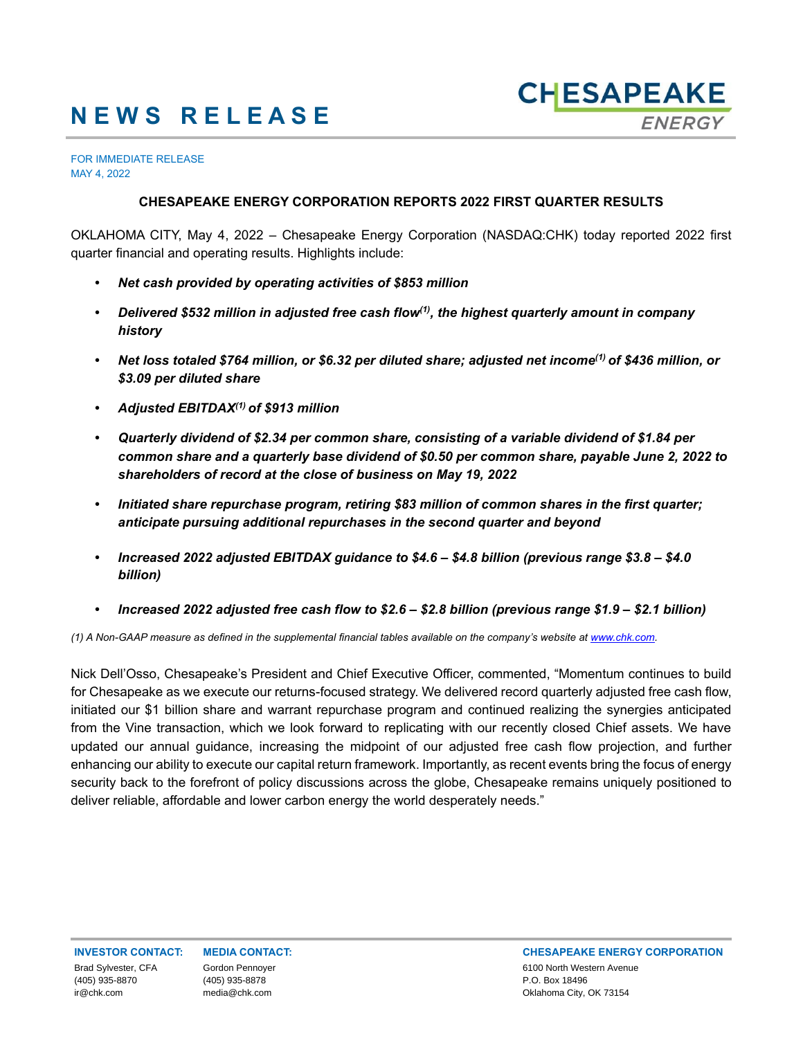# **N E W S R E L E A S E**

FOR IMMEDIATE RELEASE MAY 4, 2022

## **CHESAPEAKE ENERGY CORPORATION REPORTS 2022 FIRST QUARTER RESULTS**

OKLAHOMA CITY, May 4, 2022 – Chesapeake Energy Corporation (NASDAQ:CHK) today reported 2022 first quarter financial and operating results. Highlights include:

- *• Net cash provided by operating activities of \$853 million*
- *• Delivered \$532 million in adjusted free cash flow(1), the highest quarterly amount in company history*
- *• Net loss totaled \$764 million, or \$6.32 per diluted share; adjusted net income(1) of \$436 million, or \$3.09 per diluted share*
- *• Adjusted EBITDAX(1) of \$913 million*
- *• Quarterly dividend of \$2.34 per common share, consisting of a variable dividend of \$1.84 per common share and a quarterly base dividend of \$0.50 per common share, payable June 2, 2022 to shareholders of record at the close of business on May 19, 2022*
- *• Initiated share repurchase program, retiring \$83 million of common shares in the first quarter; anticipate pursuing additional repurchases in the second quarter and beyond*
- *• Increased 2022 adjusted EBITDAX guidance to \$4.6 – \$4.8 billion (previous range \$3.8 – \$4.0 billion)*
- *• Increased 2022 adjusted free cash flow to \$2.6 – \$2.8 billion (previous range \$1.9 – \$2.1 billion)*

*(1) A Non-GAAP measure as defined in the supplemental financial tables available on the company's website a[t www.chk.com.](http://investors.chk.com/presentations)*

Nick Dell'Osso, Chesapeake's President and Chief Executive Officer, commented, "Momentum continues to build for Chesapeake as we execute our returns-focused strategy. We delivered record quarterly adjusted free cash flow, initiated our \$1 billion share and warrant repurchase program and continued realizing the synergies anticipated from the Vine transaction, which we look forward to replicating with our recently closed Chief assets. We have updated our annual guidance, increasing the midpoint of our adjusted free cash flow projection, and further enhancing our ability to execute our capital return framework. Importantly, as recent events bring the focus of energy security back to the forefront of policy discussions across the globe, Chesapeake remains uniquely positioned to deliver reliable, affordable and lower carbon energy the world desperately needs."

Brad Sylvester, CFA (405) 935-8870 ir@chk.com

Gordon Pennoyer (405) 935-8878 media@chk.com

**INVESTOR CONTACT: MEDIA CONTACT: CHESAPEAKE ENERGY CORPORATION** 6100 North Western Avenue P.O. Box 18496 Oklahoma City, OK 73154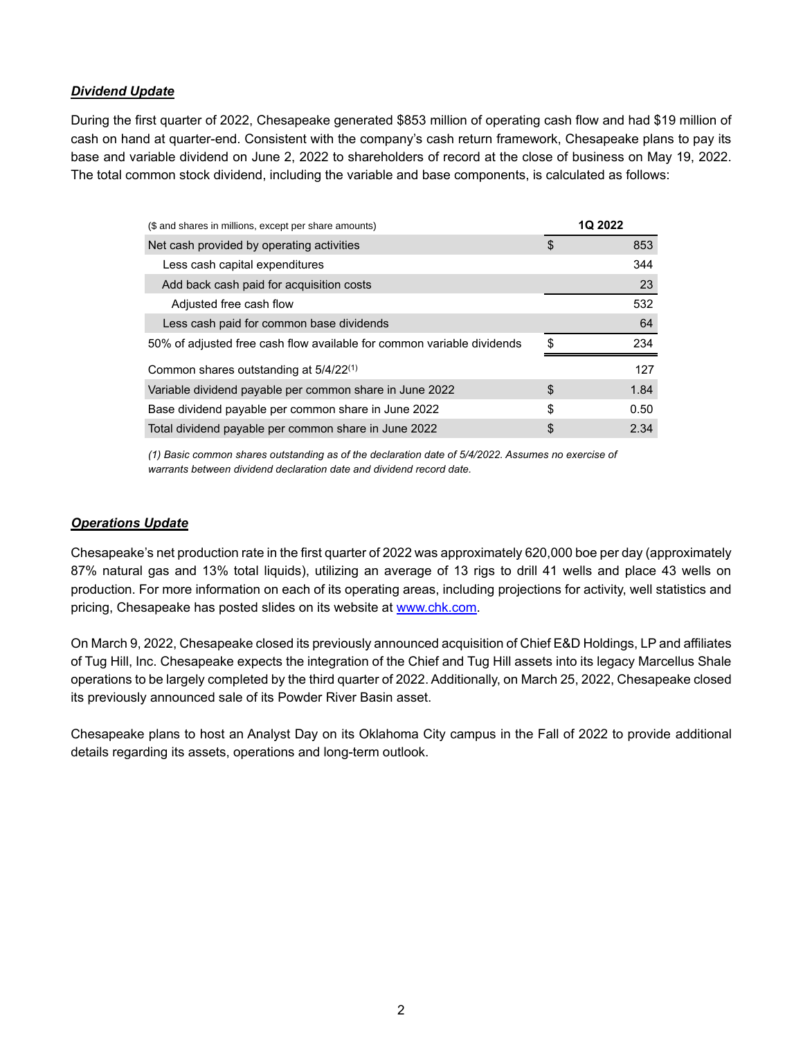## *Dividend Update*

During the first quarter of 2022, Chesapeake generated \$853 million of operating cash flow and had \$19 million of cash on hand at quarter-end. Consistent with the company's cash return framework, Chesapeake plans to pay its base and variable dividend on June 2, 2022 to shareholders of record at the close of business on May 19, 2022. The total common stock dividend, including the variable and base components, is calculated as follows:

| 1Q 2022    |
|------------|
| \$<br>853  |
| 344        |
| 23         |
| 532        |
| 64         |
| \$<br>234  |
| 127        |
| \$<br>1.84 |
| \$<br>0.50 |
| \$<br>2.34 |
|            |

*(1) Basic common shares outstanding as of the declaration date of 5/4/2022. Assumes no exercise of warrants between dividend declaration date and dividend record date.*

## *Operations Update*

Chesapeake's net production rate in the first quarter of 2022 was approximately 620,000 boe per day (approximately 87% natural gas and 13% total liquids), utilizing an average of 13 rigs to drill 41 wells and place 43 wells on production. For more information on each of its operating areas, including projections for activity, well statistics and pricing, Chesapeake has posted slides on its website at [www.chk.com.](http://investors.chk.com/presentations)

On March 9, 2022, Chesapeake closed its previously announced acquisition of Chief E&D Holdings, LP and affiliates of Tug Hill, Inc. Chesapeake expects the integration of the Chief and Tug Hill assets into its legacy Marcellus Shale operations to be largely completed by the third quarter of 2022. Additionally, on March 25, 2022, Chesapeake closed its previously announced sale of its Powder River Basin asset.

Chesapeake plans to host an Analyst Day on its Oklahoma City campus in the Fall of 2022 to provide additional details regarding its assets, operations and long-term outlook.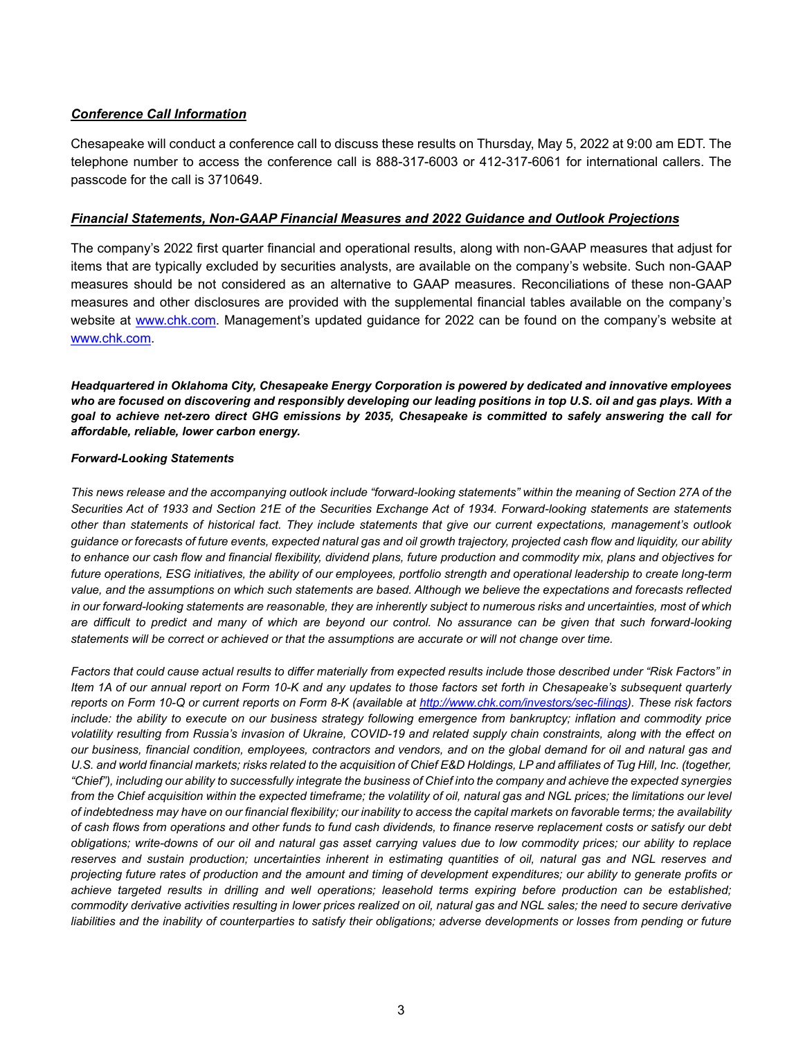### *Conference Call Information*

Chesapeake will conduct a conference call to discuss these results on Thursday, May 5, 2022 at 9:00 am EDT. The telephone number to access the conference call is 888-317-6003 or 412-317-6061 for international callers. The passcode for the call is 3710649.

#### *Financial Statements, Non-GAAP Financial Measures and 2022 Guidance and Outlook Projections*

The company's 2022 first quarter financial and operational results, along with non-GAAP measures that adjust for items that are typically excluded by securities analysts, are available on the company's website. Such non-GAAP measures should be not considered as an alternative to GAAP measures. Reconciliations of these non-GAAP measures and other disclosures are provided with the supplemental financial tables available on the company's website at [www.chk.com.](http://investors.chk.com/presentations) Management's updated guidance for 2022 can be found on the company's website at [www.chk.com.](http://investors.chk.com/presentations)

*Headquartered in Oklahoma City, Chesapeake Energy Corporation is powered by dedicated and innovative employees who are focused on discovering and responsibly developing our leading positions in top U.S. oil and gas plays. With a goal to achieve net-zero direct GHG emissions by 2035, Chesapeake is committed to safely answering the call for affordable, reliable, lower carbon energy.* 

#### *Forward-Looking Statements*

*This news release and the accompanying outlook include "forward-looking statements" within the meaning of Section 27A of the Securities Act of 1933 and Section 21E of the Securities Exchange Act of 1934. Forward-looking statements are statements other than statements of historical fact. They include statements that give our current expectations, management's outlook guidance or forecasts of future events, expected natural gas and oil growth trajectory, projected cash flow and liquidity, our ability to enhance our cash flow and financial flexibility, dividend plans, future production and commodity mix, plans and objectives for future operations, ESG initiatives, the ability of our employees, portfolio strength and operational leadership to create long-term value, and the assumptions on which such statements are based. Although we believe the expectations and forecasts reflected in our forward-looking statements are reasonable, they are inherently subject to numerous risks and uncertainties, most of which are difficult to predict and many of which are beyond our control. No assurance can be given that such forward-looking statements will be correct or achieved or that the assumptions are accurate or will not change over time.*

*Factors that could cause actual results to differ materially from expected results include those described under "Risk Factors" in Item 1A of our annual report on Form 10-K and any updates to those factors set forth in Chesapeake's subsequent quarterly reports on Form 10-Q or current reports on Form 8-K (available at [http://www.chk.com/investors/sec-filings\)](http://investors.chk.com/sec-filings). These risk factors include: the ability to execute on our business strategy following emergence from bankruptcy; inflation and commodity price volatility resulting from Russia's invasion of Ukraine, COVID-19 and related supply chain constraints, along with the effect on our business, financial condition, employees, contractors and vendors, and on the global demand for oil and natural gas and U.S. and world financial markets; risks related to the acquisition of Chief E&D Holdings, LP and affiliates of Tug Hill, Inc. (together, "Chief"), including our ability to successfully integrate the business of Chief into the company and achieve the expected synergies from the Chief acquisition within the expected timeframe; the volatility of oil, natural gas and NGL prices; the limitations our level of indebtedness may have on our financial flexibility; our inability to access the capital markets on favorable terms; the availability of cash flows from operations and other funds to fund cash dividends, to finance reserve replacement costs or satisfy our debt obligations; write-downs of our oil and natural gas asset carrying values due to low commodity prices; our ability to replace reserves and sustain production; uncertainties inherent in estimating quantities of oil, natural gas and NGL reserves and projecting future rates of production and the amount and timing of development expenditures; our ability to generate profits or achieve targeted results in drilling and well operations; leasehold terms expiring before production can be established; commodity derivative activities resulting in lower prices realized on oil, natural gas and NGL sales; the need to secure derivative*  liabilities and the inability of counterparties to satisfy their obligations; adverse developments or losses from pending or future